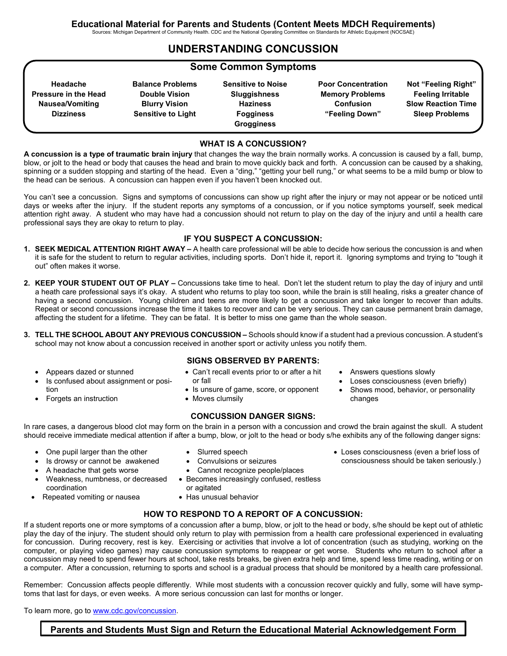Sources: Michigan Department of Community Health. CDC and the National Operating Committee on Standards for Athletic Equipment (NOCSAE)

## **UNDERSTANDING CONCUSSION**

#### **Some Common Symptoms**

| Headache                    |
|-----------------------------|
| <b>Pressure in the Head</b> |
| Nausea/Vomiting             |
| <b>Dizziness</b>            |
|                             |

**Balance Problems Double Vision Blurry Vision Sensitive to Light**

**Sensitive to Noise Sluggishness Haziness Fogginess Grogginess**

**Poor Concentration Memory Problems Confusion "Feeling Down"**

**Not "Feeling Right" Feeling Irritable Slow Reaction Time Sleep Problems**

#### **WHAT IS A CONCUSSION?**

**A concussion is a type of traumatic brain injury** that changes the way the brain normally works. A concussion is caused by a fall, bump, blow, or jolt to the head or body that causes the head and brain to move quickly back and forth. A concussion can be caused by a shaking, spinning or a sudden stopping and starting of the head. Even a "ding," "getting your bell rung," or what seems to be a mild bump or blow to the head can be serious. A concussion can happen even if you haven't been knocked out.

You can't see a concussion. Signs and symptoms of concussions can show up right after the injury or may not appear or be noticed until days or weeks after the injury. If the student reports any symptoms of a concussion, or if you notice symptoms yourself, seek medical attention right away. A student who may have had a concussion should not return to play on the day of the injury and until a health care professional says they are okay to return to play.

#### **IF YOU SUSPECT A CONCUSSION:**

- **1. SEEK MEDICAL ATTENTION RIGHT AWAY –** A health care professional will be able to decide how serious the concussion is and when it is safe for the student to return to regular activities, including sports. Don't hide it, report it. Ignoring symptoms and trying to "tough it out" often makes it worse.
- **2. KEEP YOUR STUDENT OUT OF PLAY –** Concussions take time to heal. Don't let the student return to play the day of injury and until a heath care professional says it's okay. A student who returns to play too soon, while the brain is still healing, risks a greater chance of having a second concussion. Young children and teens are more likely to get a concussion and take longer to recover than adults. Repeat or second concussions increase the time it takes to recover and can be very serious. They can cause permanent brain damage, affecting the student for a lifetime. They can be fatal. It is better to miss one game than the whole season.
- **3. TELL THE SCHOOL ABOUT ANY PREVIOUS CONCUSSION –** Schools should know if a student had a previous concussion. A student's school may not know about a concussion received in another sport or activity unless you notify them.
	- Appears dazed or stunned
	- Is confused about assignment or position
	- Forgets an instruction
- **SIGNS OBSERVED BY PARENTS:**
- Can't recall events prior to or after a hit or fall
- Is unsure of game, score, or opponent
- Moves clumsily

#### **CONCUSSION DANGER SIGNS:**

In rare cases, a dangerous blood clot may form on the brain in a person with a concussion and crowd the brain against the skull. A student should receive immediate medical attention if after a bump, blow, or jolt to the head or body s/he exhibits any of the following danger signs:

• One pupil larger than the other

• A headache that gets worse

Repeated vomiting or nausea

coordination

Is drowsy or cannot be awakened

• Weakness, numbness, or decreased

- 
- Convulsions or seizures
- Cannot recognize people/places
- Becomes increasingly confused, restless or agitated
- Has unusual behavior

#### **HOW TO RESPOND TO A REPORT OF A CONCUSSION:**

If a student reports one or more symptoms of a concussion after a bump, blow, or jolt to the head or body, s/he should be kept out of athletic play the day of the injury. The student should only return to play with permission from a health care professional experienced in evaluating for concussion. During recovery, rest is key. Exercising or activities that involve a lot of concentration (such as studying, working on the computer, or playing video games) may cause concussion symptoms to reappear or get worse. Students who return to school after a concussion may need to spend fewer hours at school, take rests breaks, be given extra help and time, spend less time reading, writing or on a computer. After a concussion, returning to sports and school is a gradual process that should be monitored by a health care professional.

Remember: Concussion affects people differently. While most students with a concussion recover quickly and fully, some will have symptoms that last for days, or even weeks. A more serious concussion can last for months or longer.

To learn more, go to [www.cdc.gov/concussion.](http://www.cdc.gov/concussion)

## **Parents and Students Must Sign and Return the Educational Material Acknowledgement Form**

changes

• Loses consciousness (even a brief loss of consciousness should be taken seriously.)

Loses consciousness (even briefly) Shows mood, behavior, or personality

• Answers questions slowly

- 
- Slurred speech